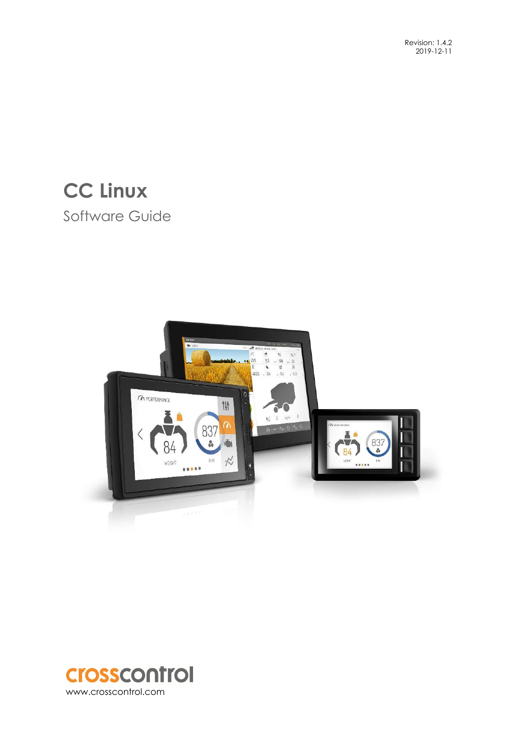# **CC Linux**  Software Guide



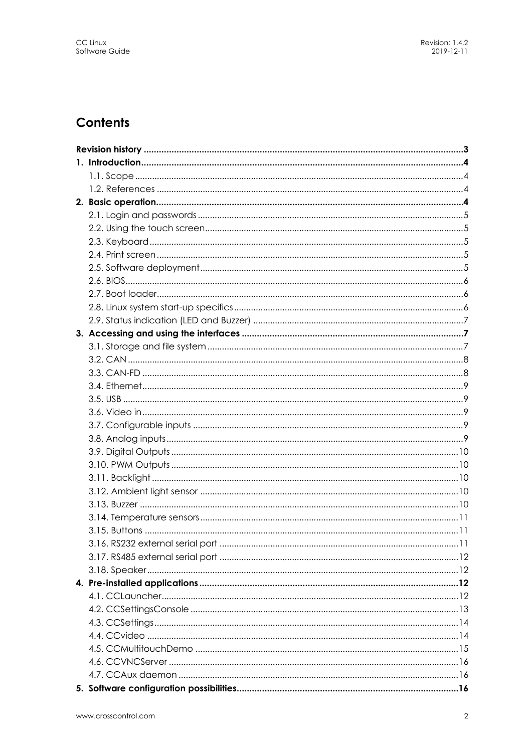## **Contents**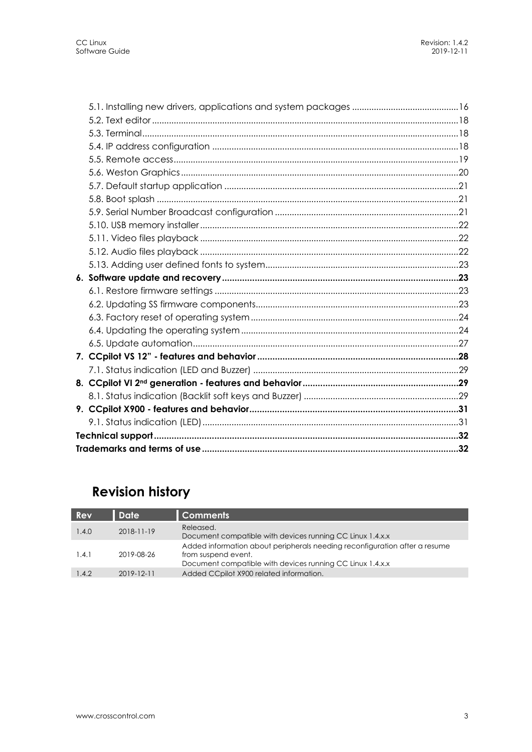## **Revision history**

| <b>Rev</b> | Date             | <b>Comments</b>                                                                                                                                                |
|------------|------------------|----------------------------------------------------------------------------------------------------------------------------------------------------------------|
| 1.4.0      | $2018 - 11 - 19$ | Released.<br>Document compatible with devices running CC Linux 1.4.x.x                                                                                         |
| 1.4.1      | 2019-08-26       | Added information about peripherals needing reconfiguration after a resume<br>from suspend event.<br>Document compatible with devices running CC Linux 1.4.x.x |
| 1.4.2      | $2019 - 12 - 11$ | Added CCpilot X900 related information.                                                                                                                        |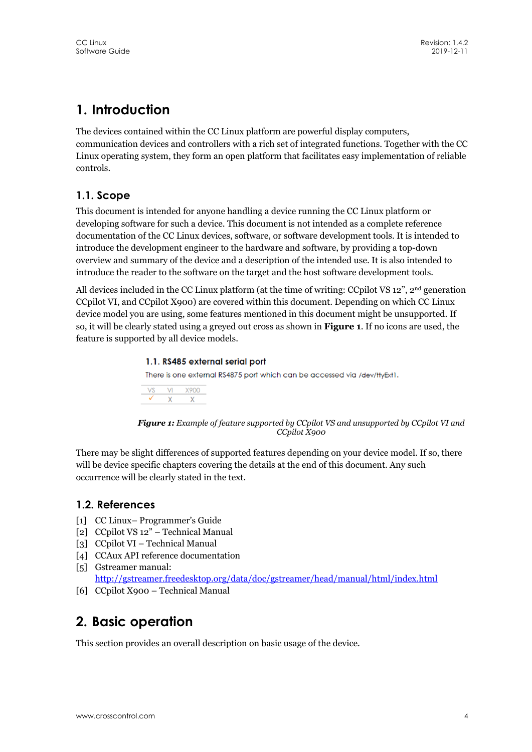## **1. Introduction**

The devices contained within the CC Linux platform are powerful display computers, communication devices and controllers with a rich set of integrated functions. Together with the CC Linux operating system, they form an open platform that facilitates easy implementation of reliable controls.

## **1.1. Scope**

This document is intended for anyone handling a device running the CC Linux platform or developing software for such a device. This document is not intended as a complete reference documentation of the CC Linux devices, software, or software development tools. It is intended to introduce the development engineer to the hardware and software, by providing a top-down overview and summary of the device and a description of the intended use. It is also intended to introduce the reader to the software on the target and the host software development tools.

All devices included in the CC Linux platform (at the time of writing: CCpilot VS  $12$ <sup>"</sup>,  $2<sup>nd</sup>$  generation CCpilot VI, and CCpilot X900) are covered within this document. Depending on which CC Linux device model you are using, some features mentioned in this document might be unsupported. If so, it will be clearly stated using a greyed out cross as shown in **Figure 1**. If no icons are used, the feature is supported by all device models.

#### 1.1. RS485 external serial port

There is one external RS4875 port which can be accessed via /dev/ttyExt1.

| VS. |   | VI X900 |
|-----|---|---------|
|     | x | Y       |

*Figure 1: Example of feature supported by CCpilot VS and unsupported by CCpilot VI and CCpilot X900* 

There may be slight differences of supported features depending on your device model. If so, there will be device specific chapters covering the details at the end of this document. Any such occurrence will be clearly stated in the text.

## **1.2. References**

- [1] CC Linux– Programmer's Guide
- [2] CCpilot VS 12" Technical Manual
- [3] CCpilot VI Technical Manual
- [4] CCAux API reference documentation
- [5] Gstreamer manual: http://gstreamer.freedesktop.org/data/doc/gstreamer/head/manual/html/index.html
- [6] CCpilot X900 Technical Manual

## **2. Basic operation**

This section provides an overall description on basic usage of the device.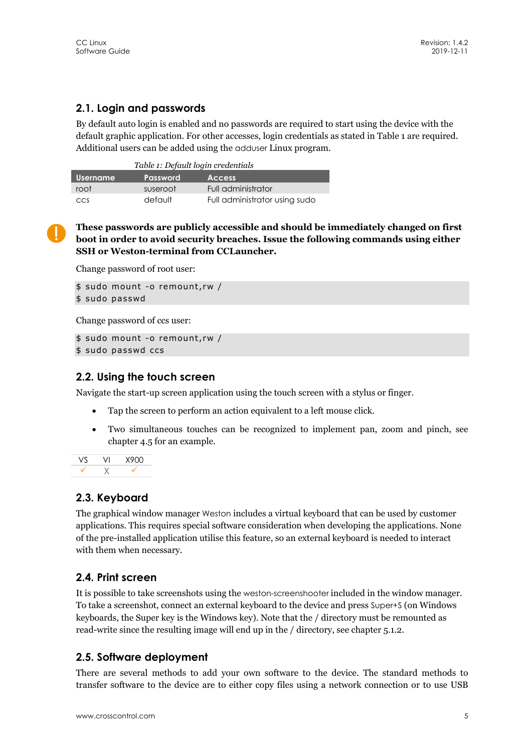## **2.1. Login and passwords**

By default auto login is enabled and no passwords are required to start using the device with the default graphic application. For other accesses, login credentials as stated in Table 1 are required. Additional users can be added using the adduser Linux program.

| Table 1: Default login credentials           |          |                               |  |  |
|----------------------------------------------|----------|-------------------------------|--|--|
| <b>Password</b><br>Username<br><b>Access</b> |          |                               |  |  |
| root                                         | suseroot | Full administrator            |  |  |
| <b>CCS</b>                                   | default  | Full administrator using sudo |  |  |

**These passwords are publicly accessible and should be immediately changed on first boot in order to avoid security breaches. Issue the following commands using either SSH or Weston-terminal from CCLauncher.** 

Change password of root user:

```
$ sudo mount -o remount,rw / 
$ sudo passwd
```
Change password of ccs user:

```
$ sudo mount -o remount,rw / 
$ sudo passwd ccs
```
### **2.2. Using the touch screen**

Navigate the start-up screen application using the touch screen with a stylus or finger.

- Tap the screen to perform an action equivalent to a left mouse click.
- Two simultaneous touches can be recognized to implement pan, zoom and pinch, see chapter 4.5 for an example.

|  | 8900 |
|--|------|
|  |      |

## **2.3. Keyboard**

The graphical window manager Weston includes a virtual keyboard that can be used by customer applications. This requires special software consideration when developing the applications. None of the pre-installed application utilise this feature, so an external keyboard is needed to interact with them when necessary.

## **2.4. Print screen**

It is possible to take screenshots using the weston-screenshooter included in the window manager. To take a screenshot, connect an external keyboard to the device and press Super+S (on Windows keyboards, the Super key is the Windows key). Note that the / directory must be remounted as read-write since the resulting image will end up in the / directory, see chapter 5.1.2.

## **2.5. Software deployment**

There are several methods to add your own software to the device. The standard methods to transfer software to the device are to either copy files using a network connection or to use USB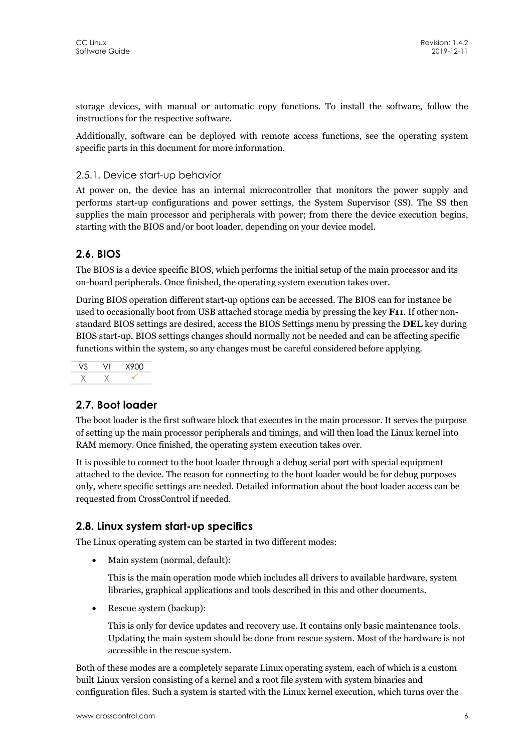storage devices, with manual or automatic copy functions. To install the software, follow the instructions for the respective software.

Additionally, software can be deployed with remote access functions, see the operating system specific parts in this document for more information.

#### 2.5.1. Device start-up behavior

At power on, the device has an internal microcontroller that monitors the power supply and performs start-up configurations and power settings, the System Supervisor (SS). The SS then supplies the main processor and peripherals with power; from there the device execution begins, starting with the BIOS and/or boot loader, depending on your device model.

## **2.6. BIOS**

The BIOS is a device specific BIOS, which performs the initial setup of the main processor and its on-board peripherals. Once finished, the operating system execution takes over.

During BIOS operation different start-up options can be accessed. The BIOS can for instance be used to occasionally boot from USB attached storage media by pressing the key **F11**. If other nonstandard BIOS settings are desired, access the BIOS Settings menu by pressing the **DEL** key during BIOS start-up. BIOS settings changes should normally not be needed and can be affecting specific functions within the system, so any changes must be careful considered before applying.

VS VI X900  $X$   $X$   $\checkmark$ 

## **2.7. Boot loader**

The boot loader is the first software block that executes in the main processor. It serves the purpose of setting up the main processor peripherals and timings, and will then load the Linux kernel into RAM memory. Once finished, the operating system execution takes over.

It is possible to connect to the boot loader through a debug serial port with special equipment attached to the device. The reason for connecting to the boot loader would be for debug purposes only, where specific settings are needed. Detailed information about the boot loader access can be requested from CrossControl if needed.

## **2.8. Linux system start-up specifics**

The Linux operating system can be started in two different modes:

• Main system (normal, default):

This is the main operation mode which includes all drivers to available hardware, system libraries, graphical applications and tools described in this and other documents.

Rescue system (backup):

This is only for device updates and recovery use. It contains only basic maintenance tools. Updating the main system should be done from rescue system. Most of the hardware is not accessible in the rescue system.

Both of these modes are a completely separate Linux operating system, each of which is a custom built Linux version consisting of a kernel and a root file system with system binaries and configuration files. Such a system is started with the Linux kernel execution, which turns over the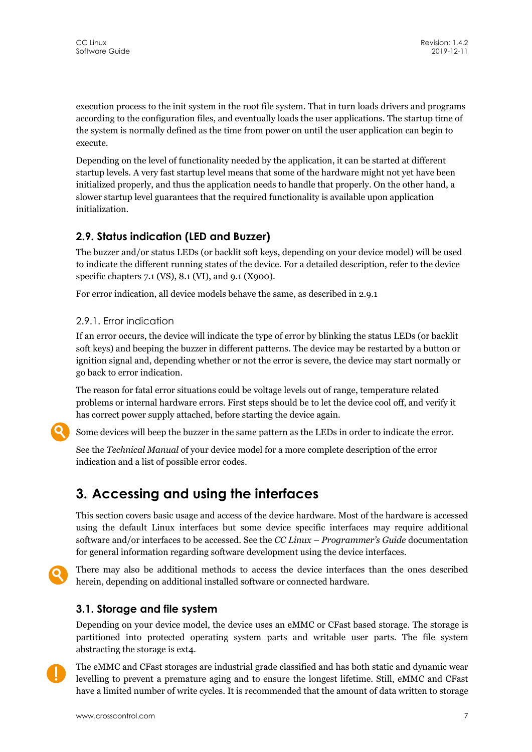execution process to the init system in the root file system. That in turn loads drivers and programs according to the configuration files, and eventually loads the user applications. The startup time of the system is normally defined as the time from power on until the user application can begin to execute.

Depending on the level of functionality needed by the application, it can be started at different startup levels. A very fast startup level means that some of the hardware might not yet have been initialized properly, and thus the application needs to handle that properly. On the other hand, a slower startup level guarantees that the required functionality is available upon application initialization.

## **2.9. Status indication (LED and Buzzer)**

The buzzer and/or status LEDs (or backlit soft keys, depending on your device model) will be used to indicate the different running states of the device. For a detailed description, refer to the device specific chapters 7.1 (VS), 8.1 (VI), and 9.1 (X900).

For error indication, all device models behave the same, as described in 2.9.1

### 2.9.1. Error indication

If an error occurs, the device will indicate the type of error by blinking the status LEDs (or backlit soft keys) and beeping the buzzer in different patterns. The device may be restarted by a button or ignition signal and, depending whether or not the error is severe, the device may start normally or go back to error indication.

The reason for fatal error situations could be voltage levels out of range, temperature related problems or internal hardware errors. First steps should be to let the device cool off, and verify it has correct power supply attached, before starting the device again.

Some devices will beep the buzzer in the same pattern as the LEDs in order to indicate the error.

See the *Technical Manual* of your device model for a more complete description of the error indication and a list of possible error codes.

## **3. Accessing and using the interfaces**

This section covers basic usage and access of the device hardware. Most of the hardware is accessed using the default Linux interfaces but some device specific interfaces may require additional software and/or interfaces to be accessed. See the *CC Linux – Programmer's Guide* documentation for general information regarding software development using the device interfaces.



There may also be additional methods to access the device interfaces than the ones described herein, depending on additional installed software or connected hardware.

## **3.1. Storage and file system**

Depending on your device model, the device uses an eMMC or CFast based storage. The storage is partitioned into protected operating system parts and writable user parts. The file system abstracting the storage is ext4.



The eMMC and CFast storages are industrial grade classified and has both static and dynamic wear levelling to prevent a premature aging and to ensure the longest lifetime. Still, eMMC and CFast have a limited number of write cycles. It is recommended that the amount of data written to storage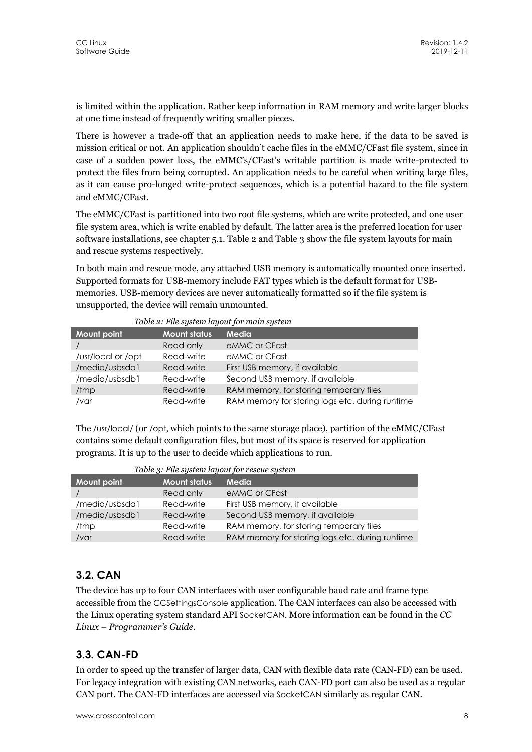is limited within the application. Rather keep information in RAM memory and write larger blocks at one time instead of frequently writing smaller pieces.

There is however a trade-off that an application needs to make here, if the data to be saved is mission critical or not. An application shouldn't cache files in the eMMC/CFast file system, since in case of a sudden power loss, the eMMC's/CFast's writable partition is made write-protected to protect the files from being corrupted. An application needs to be careful when writing large files, as it can cause pro-longed write-protect sequences, which is a potential hazard to the file system and eMMC/CFast.

The eMMC/CFast is partitioned into two root file systems, which are write protected, and one user file system area, which is write enabled by default. The latter area is the preferred location for user software installations, see chapter 5.1. Table 2 and Table 3 show the file system layouts for main and rescue systems respectively.

In both main and rescue mode, any attached USB memory is automatically mounted once inserted. Supported formats for USB-memory include FAT types which is the default format for USBmemories. USB-memory devices are never automatically formatted so if the file system is unsupported, the device will remain unmounted.

| <b>Mount point</b> | <b>Mount status</b> | <b>Media</b>                                    |
|--------------------|---------------------|-------------------------------------------------|
|                    | Read only           | eMMC or CFast                                   |
| /usr/local or /opt | Read-write          | eMMC or CFast                                   |
| /media/usbsda1     | Read-write          | First USB memory, if available                  |
| /media/usbsdb1     | Read-write          | Second USB memory, if available                 |
| /tmp               | Read-write          | RAM memory, for storing temporary files         |
| /var               | Read-write          | RAM memory for storing logs etc. during runtime |

*Table 2: File system layout for main system* 

The /usr/local/ (or /opt, which points to the same storage place), partition of the eMMC/CFast contains some default configuration files, but most of its space is reserved for application programs. It is up to the user to decide which applications to run.

| Table 3: File system layout for rescue system |                     |                                                 |  |  |
|-----------------------------------------------|---------------------|-------------------------------------------------|--|--|
| <b>Mount point</b>                            | <b>Mount status</b> | Media                                           |  |  |
|                                               | Read only           | eMMC or CFast                                   |  |  |
| /media/usbsda1                                | Read-write          | First USB memory, if available                  |  |  |
| /media/usbsdb1                                | Read-write          | Second USB memory, if available                 |  |  |
| /tmp                                          | Read-write          | RAM memory, for storing temporary files         |  |  |
| $/v$ ar                                       | Read-write          | RAM memory for storing logs etc. during runtime |  |  |

## **3.2. CAN**

The device has up to four CAN interfaces with user configurable baud rate and frame type accessible from the CCSettingsConsole application. The CAN interfaces can also be accessed with the Linux operating system standard API SocketCAN. More information can be found in the *CC Linux – Programmer's Guide*.

## **3.3. CAN-FD**

In order to speed up the transfer of larger data, CAN with flexible data rate (CAN-FD) can be used. For legacy integration with existing CAN networks, each CAN-FD port can also be used as a regular CAN port. The CAN-FD interfaces are accessed via SocketCAN similarly as regular CAN.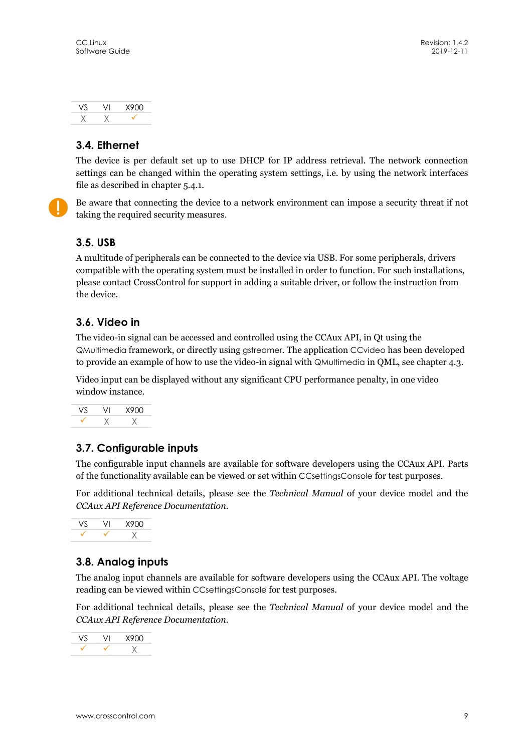

## **3.4. Ethernet**

The device is per default set up to use DHCP for IP address retrieval. The network connection settings can be changed within the operating system settings, i.e. by using the network interfaces file as described in chapter 5.4.1.

Be aware that connecting the device to a network environment can impose a security threat if not taking the required security measures.

### **3.5. USB**

A multitude of peripherals can be connected to the device via USB. For some peripherals, drivers compatible with the operating system must be installed in order to function. For such installations, please contact CrossControl for support in adding a suitable driver, or follow the instruction from the device.

## **3.6. Video in**

The video-in signal can be accessed and controlled using the CCAux API, in Qt using the QMultimedia framework, or directly using gstreamer. The application CCvideo has been developed to provide an example of how to use the video-in signal with QMultimedia in QML, see chapter 4.3.

Video input can be displayed without any significant CPU performance penalty, in one video window instance.

|  | 8900 |
|--|------|
|  |      |

## **3.7. Configurable inputs**

The configurable input channels are available for software developers using the CCAux API. Parts of the functionality available can be viewed or set within CCsettingsConsole for test purposes.

For additional technical details, please see the *Technical Manual* of your device model and the *CCAux API Reference Documentation*.



## **3.8. Analog inputs**

The analog input channels are available for software developers using the CCAux API. The voltage reading can be viewed within CCsettingsConsole for test purposes.

For additional technical details, please see the *Technical Manual* of your device model and the *CCAux API Reference Documentation*.

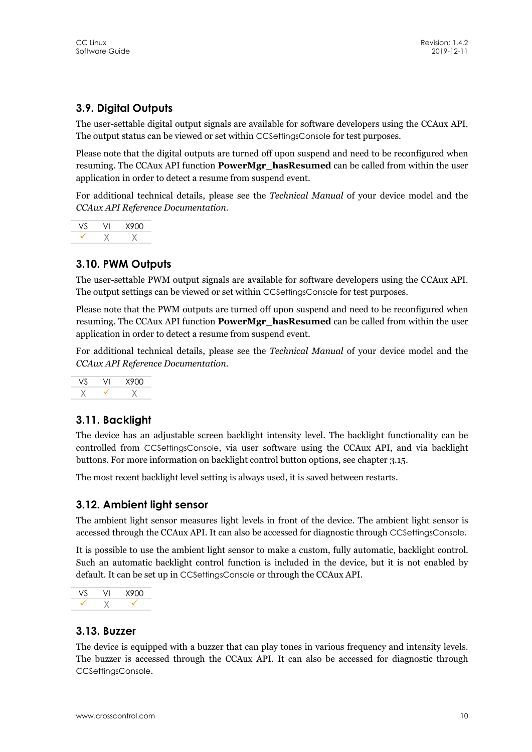## **3.9. Digital Outputs**

The user-settable digital output signals are available for software developers using the CCAux API. The output status can be viewed or set within CCSettingsConsole for test purposes.

Please note that the digital outputs are turned off upon suspend and need to be reconfigured when resuming. The CCAux API function **PowerMgr\_hasResumed** can be called from within the user application in order to detect a resume from suspend event.

For additional technical details, please see the *Technical Manual* of your device model and the *CCAux API Reference Documentation*.

VS VI X900  $\checkmark$   $\checkmark$   $\checkmark$ 

## **3.10. PWM Outputs**

The user-settable PWM output signals are available for software developers using the CCAux API. The output settings can be viewed or set within CCSettingsConsole for test purposes.

Please note that the PWM outputs are turned off upon suspend and need to be reconfigured when resuming. The CCAux API function **PowerMgr\_hasResumed** can be called from within the user application in order to detect a resume from suspend event.

For additional technical details, please see the *Technical Manual* of your device model and the *CCAux API Reference Documentation*.



## **3.11. Backlight**

The device has an adjustable screen backlight intensity level. The backlight functionality can be controlled from CCSettingsConsole, via user software using the CCAux API, and via backlight buttons. For more information on backlight control button options, see chapter 3.15.

The most recent backlight level setting is always used, it is saved between restarts.

## **3.12. Ambient light sensor**

The ambient light sensor measures light levels in front of the device. The ambient light sensor is accessed through the CCAux API. It can also be accessed for diagnostic through CCSettingsConsole.

It is possible to use the ambient light sensor to make a custom, fully automatic, backlight control. Such an automatic backlight control function is included in the device, but it is not enabled by default. It can be set up in CCSettingsConsole or through the CCAux API.



## **3.13. Buzzer**

The device is equipped with a buzzer that can play tones in various frequency and intensity levels. The buzzer is accessed through the CCAux API. It can also be accessed for diagnostic through CCSettingsConsole.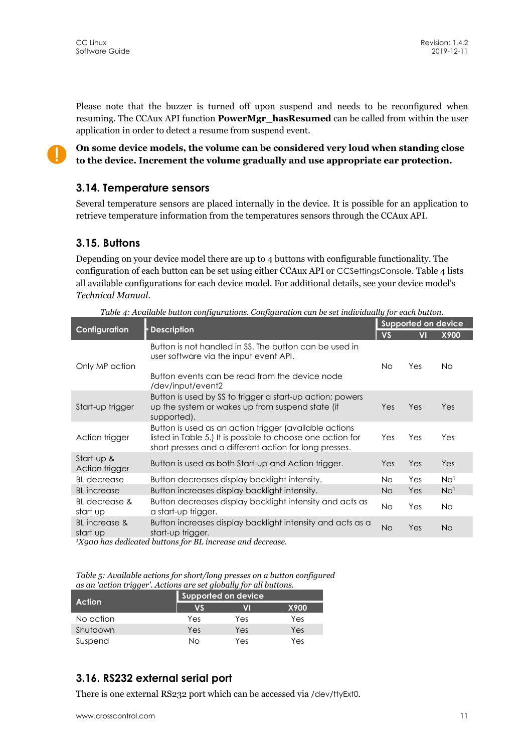Please note that the buzzer is turned off upon suspend and needs to be reconfigured when resuming. The CCAux API function **PowerMgr\_hasResumed** can be called from within the user application in order to detect a resume from suspend event.

**On some device models, the volume can be considered very loud when standing close to the device. Increment the volume gradually and use appropriate ear protection.** 

### **3.14. Temperature sensors**

Several temperature sensors are placed internally in the device. It is possible for an application to retrieve temperature information from the temperatures sensors through the CCAux API.

### **3.15. Buttons**

Depending on your device model there are up to 4 buttons with configurable functionality. The configuration of each button can be set using either CCAux API or CCSettingsConsole. Table 4 lists all available configurations for each device model. For additional details, see your device model's *Technical Manual*.

| Table 4: Available button configurations. Configuration can be set individually for each button. |                                                                                                                                                                                 |           |                     |                 |  |
|--------------------------------------------------------------------------------------------------|---------------------------------------------------------------------------------------------------------------------------------------------------------------------------------|-----------|---------------------|-----------------|--|
|                                                                                                  |                                                                                                                                                                                 |           | Supported on device |                 |  |
| Configuration                                                                                    | <b>Description</b>                                                                                                                                                              | <b>VS</b> | VI                  | X900            |  |
| Only MP action                                                                                   | Button is not handled in SS. The button can be used in<br>user software via the input event API.<br>Button events can be read from the device node<br>/dev/input/event2         | <b>No</b> | Yes                 | No.             |  |
| Start-up trigger                                                                                 | Button is used by SS to trigger a start-up action; powers<br>up the system or wakes up from suspend state (if<br>supported).                                                    | Yes       | Yes                 | Yes             |  |
| Action trigger                                                                                   | Button is used as an action trigger (available actions<br>listed in Table 5.) It is possible to choose one action for<br>short presses and a different action for long presses. | Yes       | Yes                 | Yes             |  |
| Start-up &<br>Action trigger                                                                     | Button is used as both Start-up and Action trigger.                                                                                                                             | Yes       | Yes                 | Yes             |  |
| <b>BL</b> decrease                                                                               | Button decreases display backlight intensity.                                                                                                                                   | No.       | Yes                 | No <sup>1</sup> |  |
| <b>BL</b> increase                                                                               | Button increases display backlight intensity.                                                                                                                                   | No        | Yes                 | No <sup>1</sup> |  |
| BL decrease &<br>start up                                                                        | Button decreases display backlight intensity and acts as<br>a start-up trigger.                                                                                                 | No.       | Yes                 | No.             |  |
| <b>BL</b> increase &<br>start up<br>$\mathbf{v}$ .                                               | Button increases display backlight intensity and acts as a<br>start-up trigger.<br>$\mathbf{v}$                                                                                 | <b>No</b> | Yes                 | <b>No</b>       |  |

*1X900 has dedicated buttons for BL increase and decrease.*

*Table 5: Available actions for short/long presses on a button configured as an 'action trigger'. Actions are set globally for all buttons.* 

| .<br>Action |     | Supported on device |      |
|-------------|-----|---------------------|------|
|             | VŚ  | V                   | X900 |
| No action   | Yes | Yes                 | Yes  |
| Shutdown    | Yes | Yes                 | Yes  |
| Suspend     | Νo  | Yes                 | Yes  |

## **3.16. RS232 external serial port**

There is one external RS232 port which can be accessed via /dev/ttyExt0.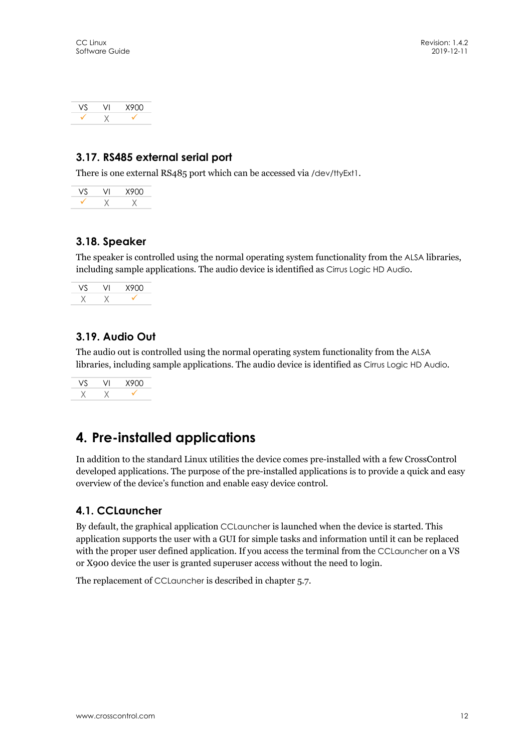|  | X900 |
|--|------|
|  |      |

## **3.17. RS485 external serial port**

There is one external RS485 port which can be accessed via /dev/ttyExt1.

|  | 900 |
|--|-----|
|  |     |

## **3.18. Speaker**

The speaker is controlled using the normal operating system functionality from the ALSA libraries, including sample applications. The audio device is identified as Cirrus Logic HD Audio*.*

|  | X900 |
|--|------|
|  |      |

## **3.19. Audio Out**

The audio out is controlled using the normal operating system functionality from the ALSA libraries, including sample applications. The audio device is identified as Cirrus Logic HD Audio*.*

VS VI X900  $X$   $X$   $Y$ 

## **4. Pre-installed applications**

In addition to the standard Linux utilities the device comes pre-installed with a few CrossControl developed applications. The purpose of the pre-installed applications is to provide a quick and easy overview of the device's function and enable easy device control.

## **4.1. CCLauncher**

By default, the graphical application CCLauncher is launched when the device is started. This application supports the user with a GUI for simple tasks and information until it can be replaced with the proper user defined application. If you access the terminal from the CCLauncher on a VS or X900 device the user is granted superuser access without the need to login.

The replacement of CCLauncher is described in chapter 5.7.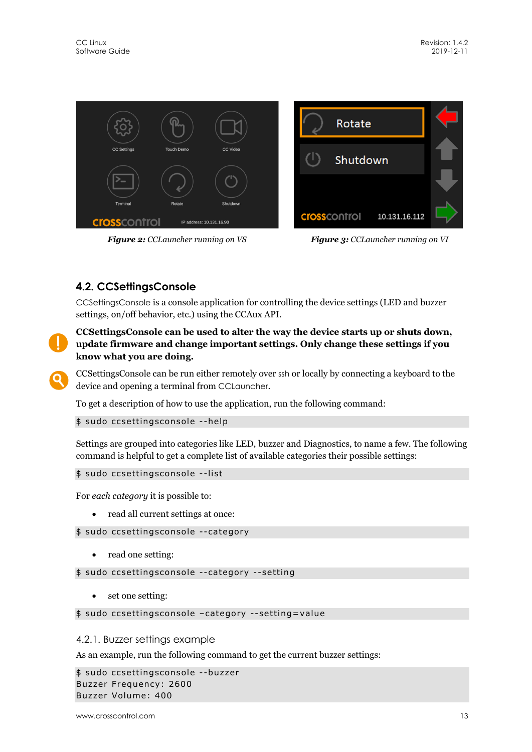

*Figure 2: CCLauncher running on VS Figure 3: CCLauncher running on VI* 

## **4.2. CCSettingsConsole**

CCSettingsConsole is a console application for controlling the device settings (LED and buzzer settings, on/off behavior, etc.) using the CCAux API.



#### **CCSettingsConsole can be used to alter the way the device starts up or shuts down, update firmware and change important settings. Only change these settings if you know what you are doing.**

CCSettingsConsole can be run either remotely over ssh or locally by connecting a keyboard to the device and opening a terminal from CCLauncher.

To get a description of how to use the application, run the following command:

#### \$ sudo ccsettingsconsole --help

Settings are grouped into categories like LED, buzzer and Diagnostics, to name a few. The following command is helpful to get a complete list of available categories their possible settings:

```
$ sudo ccsettingsconsole --list
```
For *each category* it is possible to:

• read all current settings at once:

\$ sudo ccsettingsconsole --category

• read one setting:

\$ sudo ccsettingsconsole --category --setting

• set one setting:

\$ sudo ccsettingsconsole –category --setting=value

## 4.2.1. Buzzer settings example

As an example, run the following command to get the current buzzer settings:

\$ sudo ccsettingsconsole --buzzer Buzzer Frequency: 2600 Buzzer Volume: 400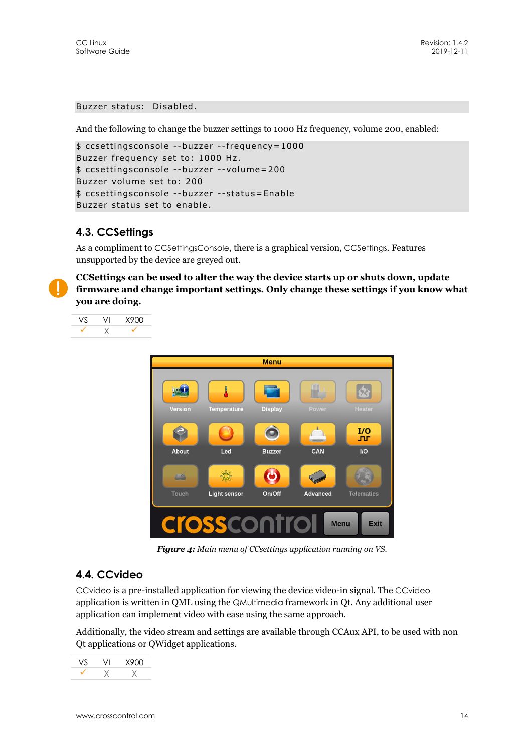#### Buzzer status: Disabled.

And the following to change the buzzer settings to 1000 Hz frequency, volume 200, enabled:

```
$ ccsettingsconsole --buzzer --frequency=1000 
Buzzer frequency set to: 1000 Hz. 
$ ccsettingsconsole --buzzer --volume=200 
Buzzer volume set to: 200 
$ ccsettingsconsole --buzzer --status=Enable 
Buzzer status set to enable.
```
## **4.3. CCSettings**

As a compliment to CCSettingsConsole, there is a graphical version, CCSettings. Features unsupported by the device are greyed out.

**CCSettings can be used to alter the way the device starts up or shuts down, update firmware and change important settings. Only change these settings if you know what you are doing.** 

VS VI X900 X



*Figure 4: Main menu of CCsettings application running on VS.* 

## **4.4. CCvideo**

CCvideo is a pre-installed application for viewing the device video-in signal. The CCvideo application is written in QML using the QMultimedia framework in Qt. Any additional user application can implement video with ease using the same approach.

Additionally, the video stream and settings are available through CCAux API, to be used with non Qt applications or QWidget applications.

|  | 8900 |
|--|------|
|  |      |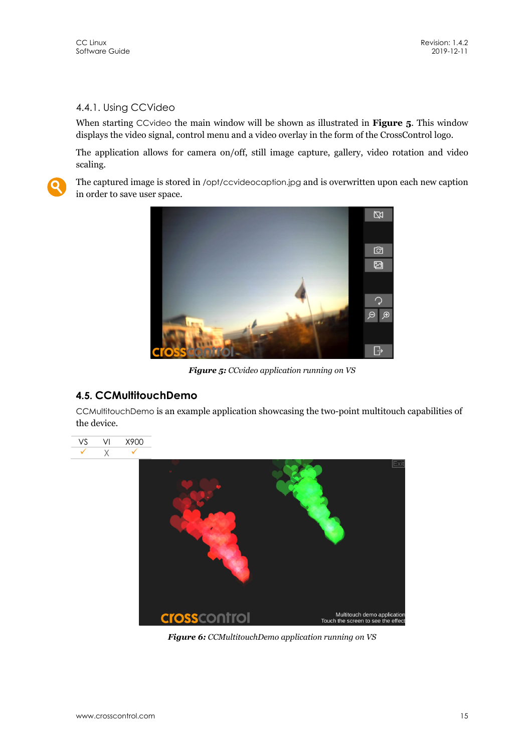### 4.4.1. Using CCVideo

When starting CCvideo the main window will be shown as illustrated in **Figure 5**. This window displays the video signal, control menu and a video overlay in the form of the CrossControl logo.

The application allows for camera on/off, still image capture, gallery, video rotation and video scaling.



The captured image is stored in /opt/ccvideocaption.jpg and is overwritten upon each new caption in order to save user space.



*Figure 5: CCvideo application running on VS* 

## **4.5. CCMultitouchDemo**

CCMultitouchDemo is an example application showcasing the two-point multitouch capabilities of the device.





*Figure 6: CCMultitouchDemo application running on VS*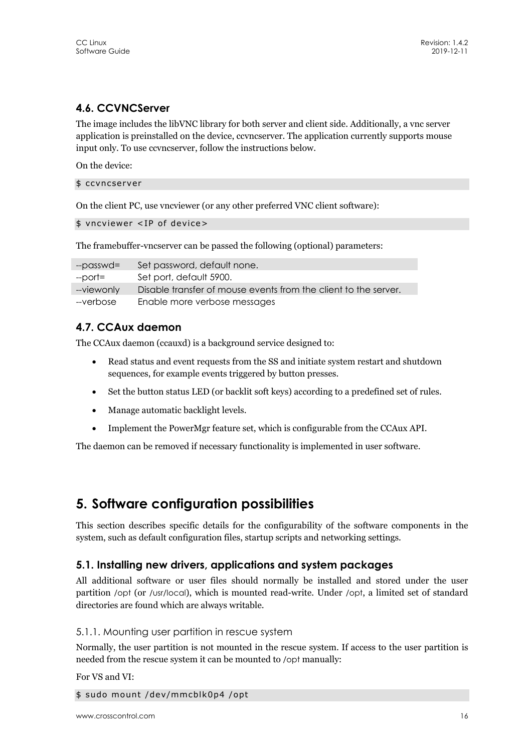## **4.6. CCVNCServer**

The image includes the libVNC library for both server and client side. Additionally, a vnc server application is preinstalled on the device, ccvncserver. The application currently supports mouse input only. To use ccvncserver, follow the instructions below.

On the device:

#### \$ ccvncserver

On the client PC, use vncviewer (or any other preferred VNC client software):

\$ vncviewer <IP of device>

The framebuffer-vncserver can be passed the following (optional) parameters:

| --passwd=  | Set password, default none.                                     |
|------------|-----------------------------------------------------------------|
| --port=    | Set port, default 5900.                                         |
| --viewonly | Disable transfer of mouse events from the client to the server. |
| --verbose  | Enable more verbose messages                                    |

## **4.7. CCAux daemon**

The CCAux daemon (ccauxd) is a background service designed to:

- Read status and event requests from the SS and initiate system restart and shutdown sequences, for example events triggered by button presses.
- Set the button status LED (or backlit soft keys) according to a predefined set of rules.
- Manage automatic backlight levels.
- Implement the PowerMgr feature set, which is configurable from the CCAux API.

The daemon can be removed if necessary functionality is implemented in user software.

## **5. Software configuration possibilities**

This section describes specific details for the configurability of the software components in the system, such as default configuration files, startup scripts and networking settings.

#### **5.1. Installing new drivers, applications and system packages**

All additional software or user files should normally be installed and stored under the user partition /opt (or /usr/local), which is mounted read-write. Under /opt, a limited set of standard directories are found which are always writable.

#### 5.1.1. Mounting user partition in rescue system

Normally, the user partition is not mounted in the rescue system. If access to the user partition is needed from the rescue system it can be mounted to /opt manually:

For VS and VI:

```
$ sudo mount /dev/mmcblk0p4 /opt
```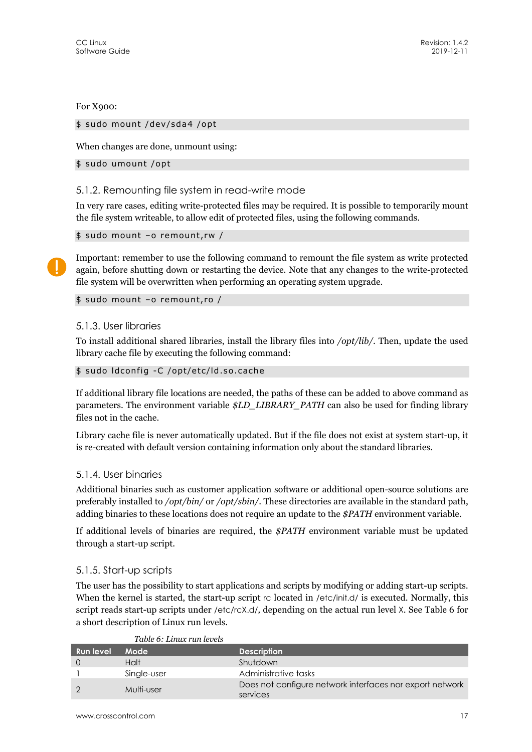For X900:

#### \$ sudo mount /dev/sda4 /opt

When changes are done, unmount using:

\$ sudo umount /opt

#### 5.1.2. Remounting file system in read-write mode

In very rare cases, editing write-protected files may be required. It is possible to temporarily mount the file system writeable, to allow edit of protected files, using the following commands.

```
$ sudo mount –o remount,rw /
```
Important: remember to use the following command to remount the file system as write protected again, before shutting down or restarting the device. Note that any changes to the write-protected file system will be overwritten when performing an operating system upgrade.

\$ sudo mount –o remount,ro /

#### 5.1.3. User libraries

To install additional shared libraries, install the library files into */opt/lib/*. Then, update the used library cache file by executing the following command:

```
$ sudo ldconfig -C /opt/etc/ld.so.cache
```
If additional library file locations are needed, the paths of these can be added to above command as parameters. The environment variable *\$LD\_LIBRARY\_PATH* can also be used for finding library files not in the cache.

Library cache file is never automatically updated. But if the file does not exist at system start-up, it is re-created with default version containing information only about the standard libraries.

#### 5.1.4. User binaries

Additional binaries such as customer application software or additional open-source solutions are preferably installed to */opt/bin/* or */opt/sbin/*. These directories are available in the standard path, adding binaries to these locations does not require an update to the *\$PATH* environment variable.

If additional levels of binaries are required, the *\$PATH* environment variable must be updated through a start-up script.

#### 5.1.5. Start-up scripts

The user has the possibility to start applications and scripts by modifying or adding start-up scripts. When the kernel is started, the start-up script rc located in /etc/init.d/ is executed. Normally, this script reads start-up scripts under /etc/rcX.d/*,* depending on the actual run level X. See Table 6 for a short description of Linux run levels.

| <b>Run level</b> | Mode        | <b>Description</b>                                                   |
|------------------|-------------|----------------------------------------------------------------------|
|                  | Halt        | Shutdown                                                             |
|                  | Single-user | Administrative tasks                                                 |
|                  | Multi-user  | Does not configure network interfaces nor export network<br>services |
|                  |             |                                                                      |

#### *Table 6: Linux run levels*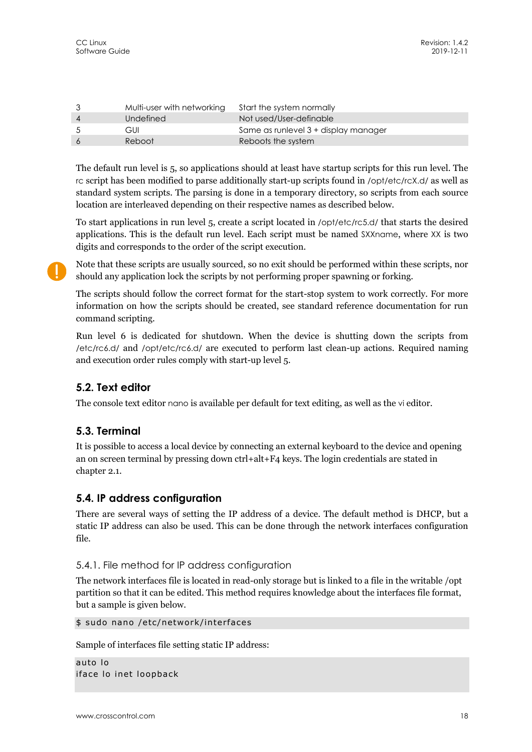|             | Multi-user with networking Start the system normally |                                      |
|-------------|------------------------------------------------------|--------------------------------------|
| -4          | Undefined                                            | Not used/User-definable              |
| $5^{\circ}$ | GUI                                                  | Same as runlevel 3 + display manager |
| -6          | Reboot                                               | Reboots the system                   |

The default run level is 5, so applications should at least have startup scripts for this run level. The rc script has been modified to parse additionally start-up scripts found in /opt/etc/rcX.d/ as well as standard system scripts. The parsing is done in a temporary directory, so scripts from each source location are interleaved depending on their respective names as described below.

To start applications in run level 5, create a script located in /opt/etc/rc5.d/ that starts the desired applications. This is the default run level. Each script must be named SXXname, where XX is two digits and corresponds to the order of the script execution.

Note that these scripts are usually sourced, so no exit should be performed within these scripts, nor should any application lock the scripts by not performing proper spawning or forking.

The scripts should follow the correct format for the start-stop system to work correctly. For more information on how the scripts should be created, see standard reference documentation for run command scripting.

Run level 6 is dedicated for shutdown. When the device is shutting down the scripts from /etc/rc6.d/ and /opt/etc/rc6.d/ are executed to perform last clean-up actions. Required naming and execution order rules comply with start-up level 5.

## **5.2. Text editor**

The console text editor nano is available per default for text editing, as well as the vi editor.

## **5.3. Terminal**

It is possible to access a local device by connecting an external keyboard to the device and opening an on screen terminal by pressing down ctrl+alt+F4 keys. The login credentials are stated in chapter 2.1.

## **5.4. IP address configuration**

There are several ways of setting the IP address of a device. The default method is DHCP, but a static IP address can also be used. This can be done through the network interfaces configuration file.

#### 5.4.1. File method for IP address configuration

The network interfaces file is located in read-only storage but is linked to a file in the writable /opt partition so that it can be edited. This method requires knowledge about the interfaces file format, but a sample is given below.

\$ sudo nano /etc/network/interfaces

Sample of interfaces file setting static IP address:

```
auto lo 
iface lo inet loopback
```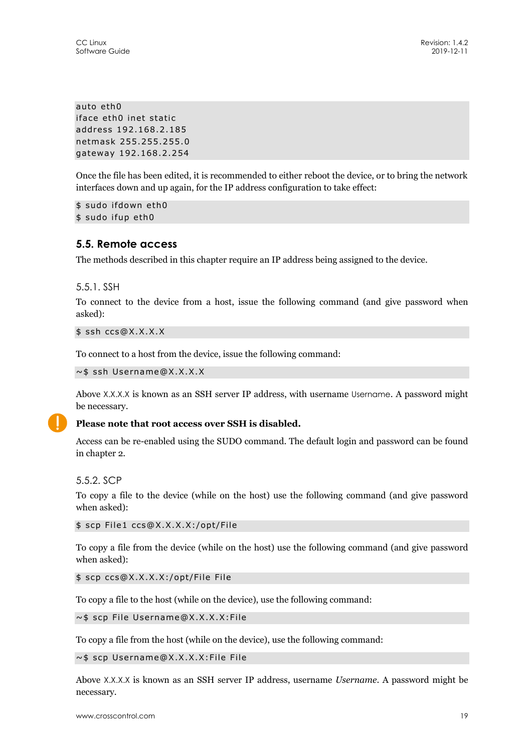auto eth0 iface eth0 inet static address 192.168.2.185 netmask 255.255.255.0 gateway 192.168.2.254

Once the file has been edited, it is recommended to either reboot the device, or to bring the network interfaces down and up again, for the IP address configuration to take effect:

\$ sudo ifdown eth0 \$ sudo ifup eth0

### **5.5. Remote access**

The methods described in this chapter require an IP address being assigned to the device.

5.5.1. SSH

To connect to the device from a host, issue the following command (and give password when asked):

\$ ssh ccs@X.X.X.X

To connect to a host from the device, issue the following command:

~\$ ssh Username@X.X.X.X

Above X.X.X.X is known as an SSH server IP address, with username Username. A password might be necessary.

![](_page_18_Picture_13.jpeg)

#### **Please note that root access over SSH is disabled.**

Access can be re-enabled using the SUDO command. The default login and password can be found in chapter 2.

5.5.2. SCP

To copy a file to the device (while on the host) use the following command (and give password when asked):

\$ scp File1 ccs@X.X.X.X:/opt/File

To copy a file from the device (while on the host) use the following command (and give password when asked):

\$ scp ccs@X.X.X.X:/opt/File File

To copy a file to the host (while on the device), use the following command:

~\$ scp File Username@X.X.X.X:File

To copy a file from the host (while on the device), use the following command:

~\$ scp Username@X.X.X.X:File File

Above X.X.X.X is known as an SSH server IP address, username *Username*. A password might be necessary.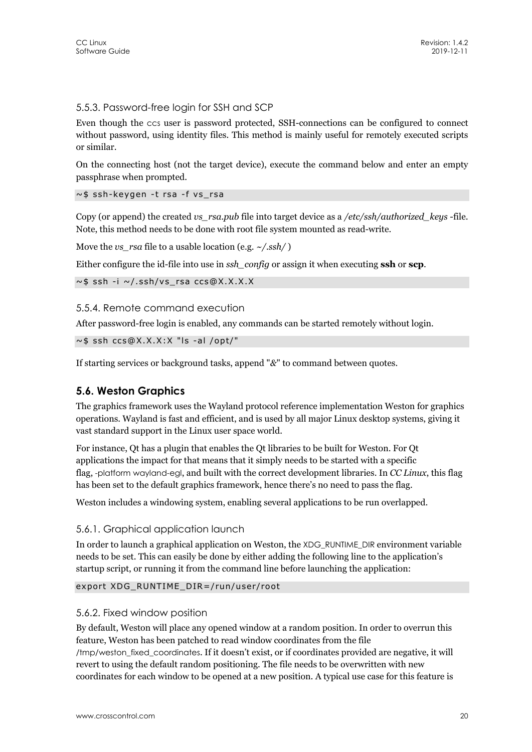#### 5.5.3. Password-free login for SSH and SCP

Even though the ccs user is password protected, SSH-connections can be configured to connect without password, using identity files. This method is mainly useful for remotely executed scripts or similar.

On the connecting host (not the target device), execute the command below and enter an empty passphrase when prompted.

~\$ ssh-keygen -t rsa -f vs\_rsa

Copy (or append) the created *vs\_rsa.pub* file into target device as a */etc/ssh/authorized\_keys* -file. Note, this method needs to be done with root file system mounted as read-write.

Move the *vs\_rsa* file to a usable location (e.g. *~/.ssh/* )

Either configure the id-file into use in *ssh\_config* or assign it when executing **ssh** or **scp**.

```
~$ ssh -i ~/.ssh/vs_rsa ccs@X.X.X.X
```
#### 5.5.4. Remote command execution

After password-free login is enabled, any commands can be started remotely without login.

 $\sim$  \$ ssh ccs@X.X.X:X "Is -al /opt/"

If starting services or background tasks, append "*&*" to command between quotes.

#### **5.6. Weston Graphics**

The graphics framework uses the Wayland protocol reference implementation Weston for graphics operations. Wayland is fast and efficient, and is used by all major Linux desktop systems, giving it vast standard support in the Linux user space world.

For instance, Qt has a plugin that enables the Qt libraries to be built for Weston. For Qt applications the impact for that means that it simply needs to be started with a specific flag, -platform wayland-egl, and built with the correct development libraries. In *CC Linux*, this flag has been set to the default graphics framework, hence there's no need to pass the flag.

Weston includes a windowing system, enabling several applications to be run overlapped.

#### 5.6.1. Graphical application launch

In order to launch a graphical application on Weston, the XDG\_RUNTIME\_DIR environment variable needs to be set. This can easily be done by either adding the following line to the application's startup script, or running it from the command line before launching the application:

#### export XDG\_RUNTIME\_DIR=/run/user/root

#### 5.6.2. Fixed window position

By default, Weston will place any opened window at a random position. In order to overrun this feature, Weston has been patched to read window coordinates from the file /tmp/weston\_fixed\_coordinates. If it doesn't exist, or if coordinates provided are negative, it will revert to using the default random positioning. The file needs to be overwritten with new coordinates for each window to be opened at a new position. A typical use case for this feature is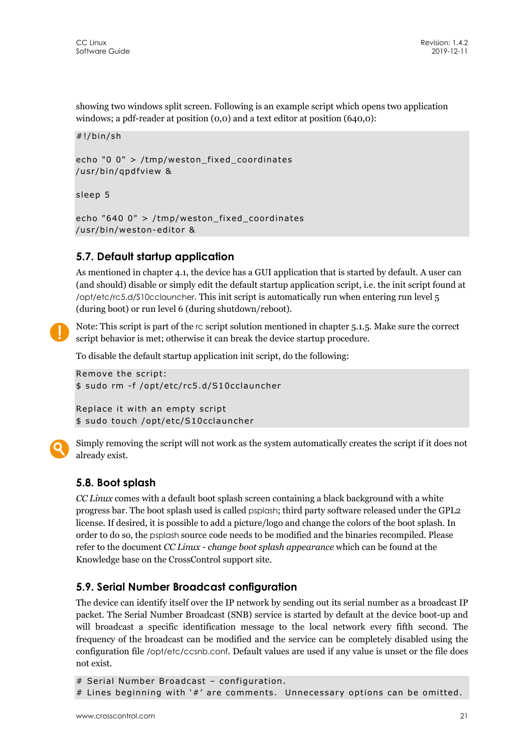showing two windows split screen. Following is an example script which opens two application windows; a pdf-reader at position (0,0) and a text editor at position (640,0):

```
#!/bin/sh
```
echo "0 0" > /tmp/weston\_fixed\_coordinates /usr/bin/qpdfview &

sleep 5

```
echo "640 0" > /tmp/weston fixed coordinates
/usr/bin/weston-editor &
```
## **5.7. Default startup application**

As mentioned in chapter 4.1, the device has a GUI application that is started by default. A user can (and should) disable or simply edit the default startup application script, i.e. the init script found at /opt/etc/rc5.d/S10cclauncher. This init script is automatically run when entering run level 5 (during boot) or run level 6 (during shutdown/reboot).

Note: This script is part of the rc script solution mentioned in chapter 5.1.5. Make sure the correct script behavior is met; otherwise it can break the device startup procedure.

To disable the default startup application init script, do the following:

```
Remove the script: 
$ sudo rm -f /opt/etc/rc5.d/S10cclauncher
```

```
Replace it with an empty script 
$ sudo touch /opt/etc/S10cclauncher
```
![](_page_20_Picture_13.jpeg)

Simply removing the script will not work as the system automatically creates the script if it does not already exist.

## **5.8. Boot splash**

*CC Linux* comes with a default boot splash screen containing a black background with a white progress bar. The boot splash used is called psplash; third party software released under the GPL2 license. If desired, it is possible to add a picture/logo and change the colors of the boot splash. In order to do so, the psplash source code needs to be modified and the binaries recompiled. Please refer to the document *CC Linux - change boot splash appearance* which can be found at the Knowledge base on the CrossControl support site.

## **5.9. Serial Number Broadcast configuration**

The device can identify itself over the IP network by sending out its serial number as a broadcast IP packet. The Serial Number Broadcast (SNB) service is started by default at the device boot-up and will broadcast a specific identification message to the local network every fifth second. The frequency of the broadcast can be modified and the service can be completely disabled using the configuration file /opt/etc/ccsnb.conf. Default values are used if any value is unset or the file does not exist.

```
# Serial Number Broadcast – configuration. 
# Lines beginning with '#' are comments. Unnecessary options can be omitted.
```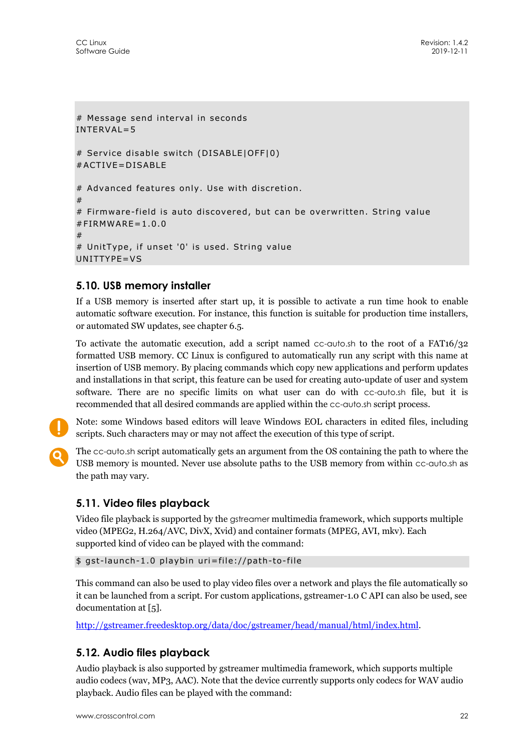```
# Message send interval in seconds 
INTERVAL=5 
# Service disable switch (DISABLE|OFF|0) 
#ACTIVE=DISABLE 
# Advanced features only. Use with discretion. 
# 
# Firmware-field is auto discovered, but can be overwritten. String value 
#FIRMWARF=1.0.0
# 
# UnitType, if unset '0' is used. String value 
UNITTYPE=VS
```
## **5.10. USB memory installer**

If a USB memory is inserted after start up, it is possible to activate a run time hook to enable automatic software execution. For instance, this function is suitable for production time installers, or automated SW updates, see chapter 6.5.

To activate the automatic execution, add a script named cc-auto.sh to the root of a FAT16/32 formatted USB memory. CC Linux is configured to automatically run any script with this name at insertion of USB memory. By placing commands which copy new applications and perform updates and installations in that script, this feature can be used for creating auto-update of user and system software. There are no specific limits on what user can do with cc-auto.sh file, but it is recommended that all desired commands are applied within the cc-auto.sh script process.

![](_page_21_Picture_6.jpeg)

Note: some Windows based editors will leave Windows EOL characters in edited files, including scripts. Such characters may or may not affect the execution of this type of script.

![](_page_21_Picture_8.jpeg)

The cc-auto.sh script automatically gets an argument from the OS containing the path to where the USB memory is mounted. Never use absolute paths to the USB memory from within cc-auto.sh as the path may vary.

#### **5.11. Video files playback**

Video file playback is supported by the gstreamer multimedia framework, which supports multiple video (MPEG2, H.264/AVC, DivX, Xvid) and container formats (MPEG, AVI, mkv). Each supported kind of video can be played with the command:

```
$ gst-launch-1.0 playbin uri=file://path-to-file
```
This command can also be used to play video files over a network and plays the file automatically so it can be launched from a script. For custom applications, gstreamer-1.0 C API can also be used, see documentation at [5].

http://gstreamer.freedesktop.org/data/doc/gstreamer/head/manual/html/index.html.

## **5.12. Audio files playback**

Audio playback is also supported by gstreamer multimedia framework, which supports multiple audio codecs (wav, MP3, AAC). Note that the device currently supports only codecs for WAV audio playback. Audio files can be played with the command: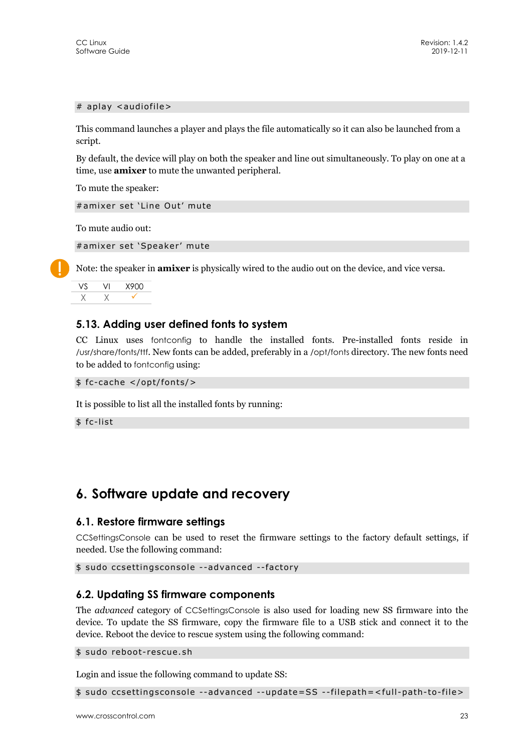#### # aplay <audiofile>

This command launches a player and plays the file automatically so it can also be launched from a script.

By default, the device will play on both the speaker and line out simultaneously. To play on one at a time, use **amixer** to mute the unwanted peripheral.

To mute the speaker:

#amixer set 'Line Out' mute

To mute audio out:

#amixer set 'Speaker' mute

Note: the speaker in **amixer** is physically wired to the audio out on the device, and vice versa.

|  | 8900 |
|--|------|
|  |      |

#### **5.13. Adding user defined fonts to system**

CC Linux uses fontconfig to handle the installed fonts. Pre-installed fonts reside in /usr/share/fonts/ttf. New fonts can be added, preferably in a /opt/fonts directory. The new fonts need to be added to fontconfig using:

```
$ fc-cache </opt/fonts/>
```
It is possible to list all the installed fonts by running:

\$ fc-list

## **6. Software update and recovery**

#### **6.1. Restore firmware settings**

CCSettingsConsole can be used to reset the firmware settings to the factory default settings, if needed. Use the following command:

\$ sudo ccsettingsconsole --advanced --factory

#### **6.2. Updating SS firmware components**

The *advanced* category of CCSettingsConsole is also used for loading new SS firmware into the device. To update the SS firmware, copy the firmware file to a USB stick and connect it to the device. Reboot the device to rescue system using the following command:

\$ sudo reboot-rescue.sh

Login and issue the following command to update SS:

\$ sudo ccsettingsconsole --advanced --update=SS --filepath=<full-path-to-file>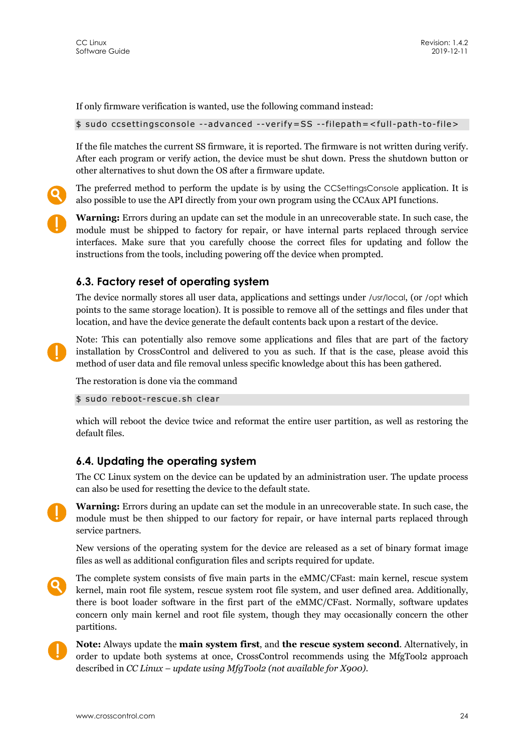If only firmware verification is wanted, use the following command instead:

\$ sudo ccsettingsconsole --advanced --verify=SS --filepath=<full-path-to-file>

If the file matches the current SS firmware, it is reported. The firmware is not written during verify. After each program or verify action, the device must be shut down. Press the shutdown button or other alternatives to shut down the OS after a firmware update.

The preferred method to perform the update is by using the CCSettingsConsole application. It is also possible to use the API directly from your own program using the CCAux API functions.

**Warning:** Errors during an update can set the module in an unrecoverable state. In such case, the module must be shipped to factory for repair, or have internal parts replaced through service interfaces. Make sure that you carefully choose the correct files for updating and follow the instructions from the tools, including powering off the device when prompted.

#### **6.3. Factory reset of operating system**

The device normally stores all user data, applications and settings under /usr/local, (or /opt which points to the same storage location). It is possible to remove all of the settings and files under that location, and have the device generate the default contents back upon a restart of the device.

Note: This can potentially also remove some applications and files that are part of the factory installation by CrossControl and delivered to you as such. If that is the case, please avoid this method of user data and file removal unless specific knowledge about this has been gathered.

The restoration is done via the command

\$ sudo reboot-rescue.sh clear

which will reboot the device twice and reformat the entire user partition, as well as restoring the default files.

#### **6.4. Updating the operating system**

The CC Linux system on the device can be updated by an administration user. The update process can also be used for resetting the device to the default state.

**Warning:** Errors during an update can set the module in an unrecoverable state. In such case, the module must be then shipped to our factory for repair, or have internal parts replaced through service partners.

New versions of the operating system for the device are released as a set of binary format image files as well as additional configuration files and scripts required for update.

- The complete system consists of five main parts in the eMMC/CFast: main kernel, rescue system kernel, main root file system, rescue system root file system, and user defined area. Additionally, there is boot loader software in the first part of the eMMC/CFast. Normally, software updates concern only main kernel and root file system, though they may occasionally concern the other partitions.
- **Note:** Always update the **main system first**, and **the rescue system second**. Alternatively, in order to update both systems at once, CrossControl recommends using the MfgTool2 approach described in *CC Linux – update using MfgTool2 (not available for X900)*.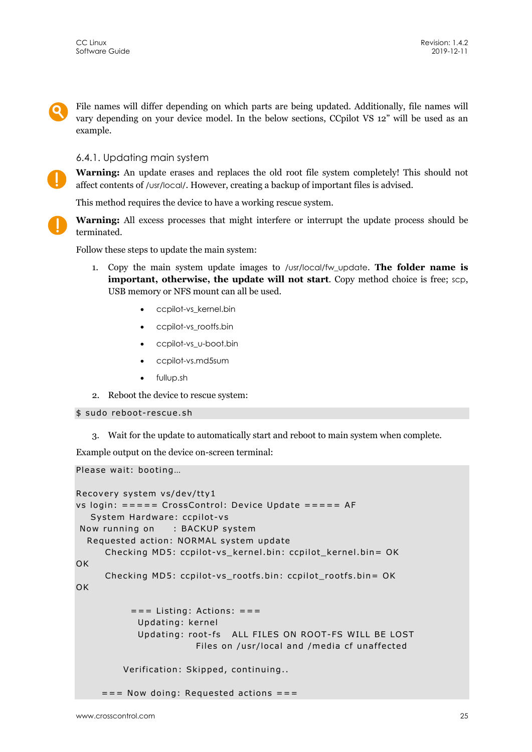File names will differ depending on which parts are being updated. Additionally, file names will vary depending on your device model. In the below sections, CCpilot VS 12" will be used as an example.

#### 6.4.1. Updating main system

**Warning:** An update erases and replaces the old root file system completely! This should not affect contents of /usr/local/. However, creating a backup of important files is advised.

This method requires the device to have a working rescue system.

**Warning:** All excess processes that might interfere or interrupt the update process should be terminated.

Follow these steps to update the main system:

- 1. Copy the main system update images to /usr/local/fw\_update. **The folder name is important, otherwise, the update will not start**. Copy method choice is free; scp, USB memory or NFS mount can all be used.
	- ccpilot-vs\_kernel.bin
	- ccpilot-vs\_rootfs.bin
	- ccpilot-vs\_u-boot.bin
	- ccpilot-vs.md5sum
	- fullup.sh
- 2. Reboot the device to rescue system:
- \$ sudo reboot-rescue.sh
	- 3. Wait for the update to automatically start and reboot to main system when complete.

Example output on the device on-screen terminal:

Please wait: booting…

```
Recovery system vs/dev/tty1 
vs login: ===== CrossControl: Device Update ===== AF 
    System Hardware: ccpilot-vs 
 Now running on : BACKUP system 
   Requested action: NORMAL system update 
      Checking MD5: ccpilot-vs_kernel.bin: ccpilot_kernel.bin= OK 
OK 
      Checking MD5: ccpilot-vs_rootfs.bin: ccpilot_rootfs.bin= OK 
OK
           == Listing: Actions: == Updating: kernel 
             Updating: root-fs ALL FILES ON ROOT-FS WILL BE LOST 
                         Files on /usr/local and /media cf unaffected 
          Verification: Skipped, continuing.. 
     == Now doing: Requested actions ==
```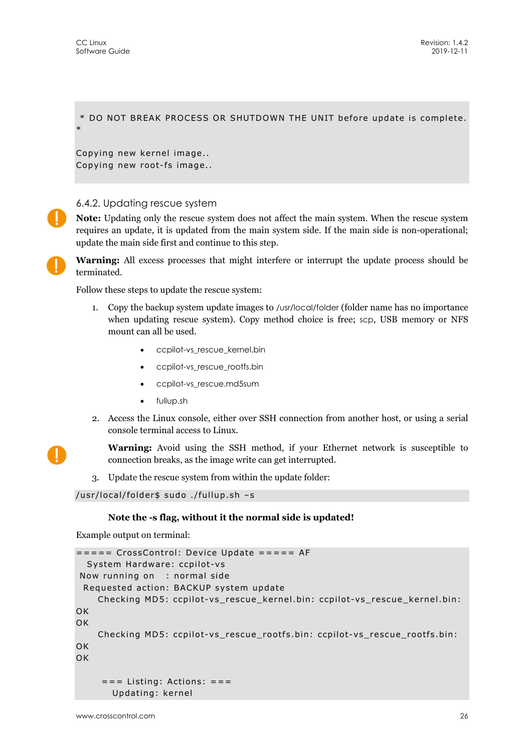\* DO NOT BREAK PROCESS OR SHUTDOWN THE UNIT before update is complete. \*

Copying new kernel image.. Copying new root-fs image..

#### 6.4.2. Updating rescue system

**Note:** Updating only the rescue system does not affect the main system. When the rescue system requires an update, it is updated from the main system side. If the main side is non-operational; update the main side first and continue to this step.

**Warning:** All excess processes that might interfere or interrupt the update process should be terminated.

Follow these steps to update the rescue system:

- 1. Copy the backup system update images to /usr/local/folder (folder name has no importance when updating rescue system). Copy method choice is free; scp, USB memory or NFS mount can all be used.
	- ccpilot-vs\_rescue\_kernel.bin
	- ccpilot-vs\_rescue\_rootfs.bin
	- ccpilot-vs\_rescue.md5sum
	- fullup.sh
- 2. Access the Linux console, either over SSH connection from another host, or using a serial console terminal access to Linux.

**Warning:** Avoid using the SSH method, if your Ethernet network is susceptible to connection breaks, as the image write can get interrupted.

3. Update the rescue system from within the update folder:

```
/usr/local/folder$ sudo ./fullup.sh –s
```
#### **Note the -s flag, without it the normal side is updated!**

Example output on terminal:

```
===== CrossControl: Device Update ===== AF 
   System Hardware: ccpilot-vs 
 Now running on : normal side 
  Requested action: BACKUP system update 
     Checking MD5: ccpilot-vs_rescue_kernel.bin: ccpilot-vs_rescue_kernel.bin: 
OK 
OK
     Checking MD5: ccpilot-vs_rescue_rootfs.bin: ccpilot-vs_rescue_rootfs.bin: 
OK
OK 
     == Listing: Actions: == Updating: kernel
```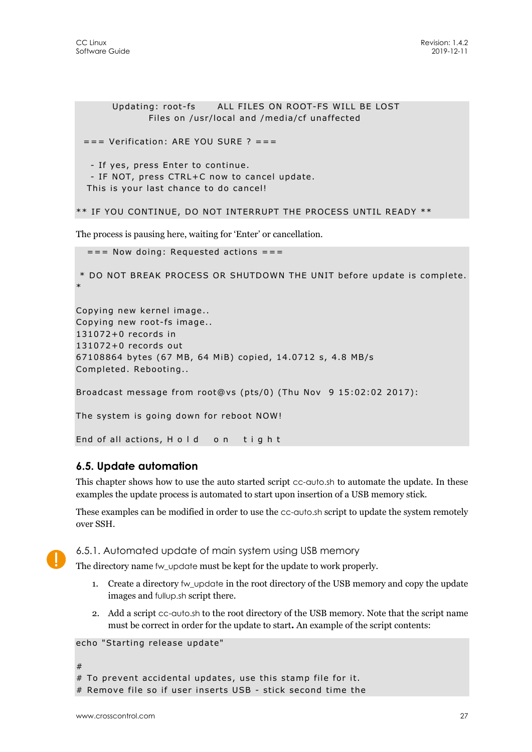```
 Updating: root-fs ALL FILES ON ROOT-FS WILL BE LOST 
               Files on /usr/local and /media/cf unaffected 
 == Verification: ARE YOU SURE ? == - If yes, press Enter to continue. 
   - IF NOT, press CTRL+C now to cancel update. 
   This is your last chance to do cancel! 
** IF YOU CONTINUE, DO NOT INTERRUPT THE PROCESS UNTIL READY ** 
The process is pausing here, waiting for 'Enter' or cancellation. 
  == Now doing: Requested actions == * DO NOT BREAK PROCESS OR SHUTDOWN THE UNIT before update is complete. 
* 
Copying new kernel image.. 
Copying new root-fs image.. 
131072+0 records in 
131072+0 records out 
67108864 bytes (67 MB, 64 MiB) copied, 14.0712 s, 4.8 MB/s 
Completed. Rebooting.. 
Broadcast message from root@vs (pts/0) (Thu Nov 9 15:02:02 2017): 
The system is going down for reboot NOW! 
End of all actions, H o I d on tight
```
## **6.5. Update automation**

This chapter shows how to use the auto started script cc-auto.sh to automate the update. In these examples the update process is automated to start upon insertion of a USB memory stick.

These examples can be modified in order to use the cc-auto.sh script to update the system remotely over SSH.

![](_page_26_Picture_6.jpeg)

6.5.1. Automated update of main system using USB memory

The directory name fw\_update must be kept for the update to work properly.

- 1. Create a directory fw\_update in the root directory of the USB memory and copy the update images and fullup.sh script there.
- 2. Add a script cc-auto.sh to the root directory of the USB memory. Note that the script name must be correct in order for the update to start**.** An example of the script contents:

```
echo "Starting release update"
```

```
#
```

```
# To prevent accidental updates, use this stamp file for it.
```

```
# Remove file so if user inserts USB - stick second time the
```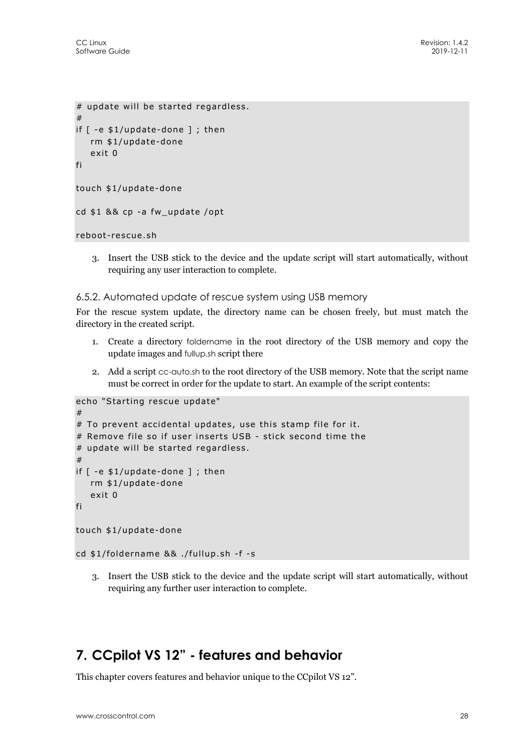```
# update will be started regardless. 
# 
if \lceil -e \pm 1/update-done \rceil; then
    rm $1/update-done 
    exit 0 
fi 
touch $1/update-done 
cd $1 && cp -a fw_update /opt
```

```
reboot-rescue.sh
```
3. Insert the USB stick to the device and the update script will start automatically, without requiring any user interaction to complete.

#### 6.5.2. Automated update of rescue system using USB memory

For the rescue system update, the directory name can be chosen freely, but must match the directory in the created script.

- 1. Create a directory foldername in the root directory of the USB memory and copy the update images and fullup.sh script there
- 2. Add a script cc-auto.sh to the root directory of the USB memory. Note that the script name must be correct in order for the update to start. An example of the script contents:

```
echo "Starting rescue update" 
# 
# To prevent accidental updates, use this stamp file for it. 
# Remove file so if user inserts USB - stick second time the 
# update will be started regardless. 
# 
if [ -e $1/update-done ] ; then 
    rm $1/update-done 
    exit 0 
fi 
touch $1/update-done 
cd $1/foldername && ./fullup.sh -f -s
```
3. Insert the USB stick to the device and the update script will start automatically, without requiring any further user interaction to complete.

## **7. CCpilot VS 12" - features and behavior**

This chapter covers features and behavior unique to the CCpilot VS 12".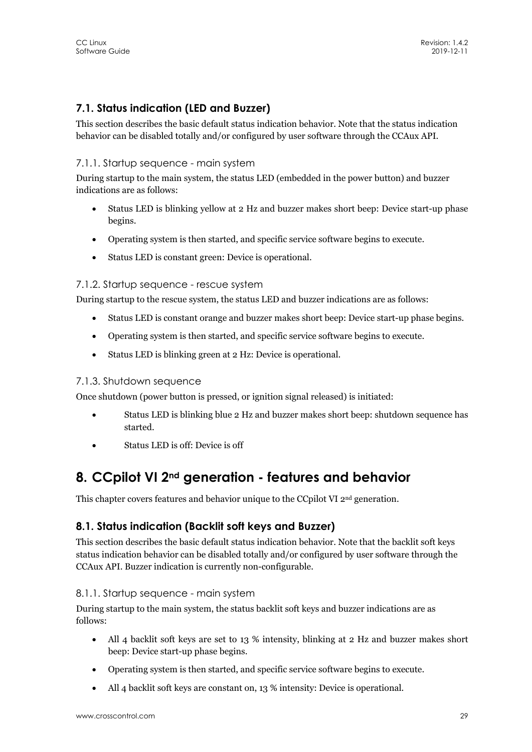## **7.1. Status indication (LED and Buzzer)**

This section describes the basic default status indication behavior. Note that the status indication behavior can be disabled totally and/or configured by user software through the CCAux API.

#### 7.1.1. Startup sequence - main system

During startup to the main system, the status LED (embedded in the power button) and buzzer indications are as follows:

- Status LED is blinking yellow at 2 Hz and buzzer makes short beep: Device start-up phase begins.
- Operating system is then started, and specific service software begins to execute.
- Status LED is constant green: Device is operational.

#### 7.1.2. Startup sequence - rescue system

During startup to the rescue system, the status LED and buzzer indications are as follows:

- Status LED is constant orange and buzzer makes short beep: Device start-up phase begins.
- Operating system is then started, and specific service software begins to execute.
- Status LED is blinking green at 2 Hz: Device is operational.

#### 7.1.3. Shutdown sequence

Once shutdown (power button is pressed, or ignition signal released) is initiated:

- Status LED is blinking blue 2 Hz and buzzer makes short beep: shutdown sequence has started.
- Status LED is off: Device is off

## **8. CCpilot VI 2nd generation - features and behavior**

This chapter covers features and behavior unique to the CCpilot VI 2<sup>nd</sup> generation.

## **8.1. Status indication (Backlit soft keys and Buzzer)**

This section describes the basic default status indication behavior. Note that the backlit soft keys status indication behavior can be disabled totally and/or configured by user software through the CCAux API. Buzzer indication is currently non-configurable.

#### 8.1.1. Startup sequence - main system

During startup to the main system, the status backlit soft keys and buzzer indications are as follows:

- All 4 backlit soft keys are set to 13 % intensity, blinking at 2 Hz and buzzer makes short beep: Device start-up phase begins.
- Operating system is then started, and specific service software begins to execute.
- All 4 backlit soft keys are constant on, 13 % intensity: Device is operational.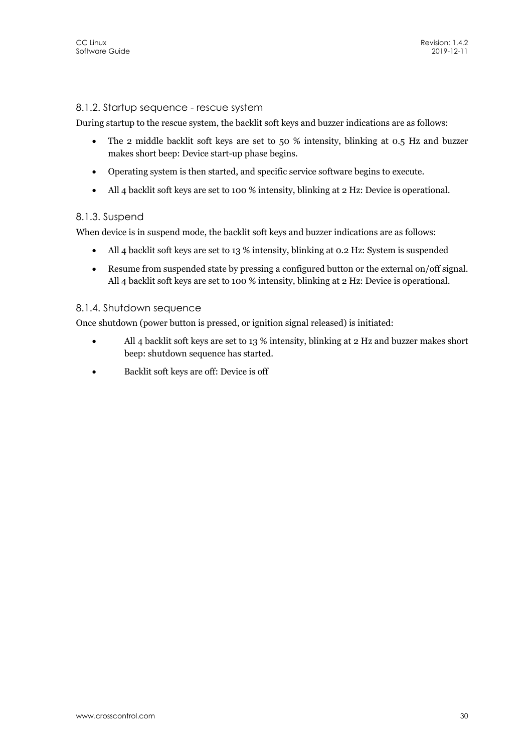#### 8.1.2. Startup sequence - rescue system

During startup to the rescue system, the backlit soft keys and buzzer indications are as follows:

- The 2 middle backlit soft keys are set to 50 % intensity, blinking at 0.5 Hz and buzzer makes short beep: Device start-up phase begins.
- Operating system is then started, and specific service software begins to execute.
- All 4 backlit soft keys are set to 100 % intensity, blinking at 2 Hz: Device is operational.

#### 8.1.3. Suspend

When device is in suspend mode, the backlit soft keys and buzzer indications are as follows:

- All 4 backlit soft keys are set to 13 % intensity, blinking at 0.2 Hz: System is suspended
- Resume from suspended state by pressing a configured button or the external on/off signal. All 4 backlit soft keys are set to 100 % intensity, blinking at 2 Hz: Device is operational.

#### 8.1.4. Shutdown sequence

Once shutdown (power button is pressed, or ignition signal released) is initiated:

- All 4 backlit soft keys are set to 13 % intensity, blinking at 2 Hz and buzzer makes short beep: shutdown sequence has started.
- Backlit soft keys are off: Device is off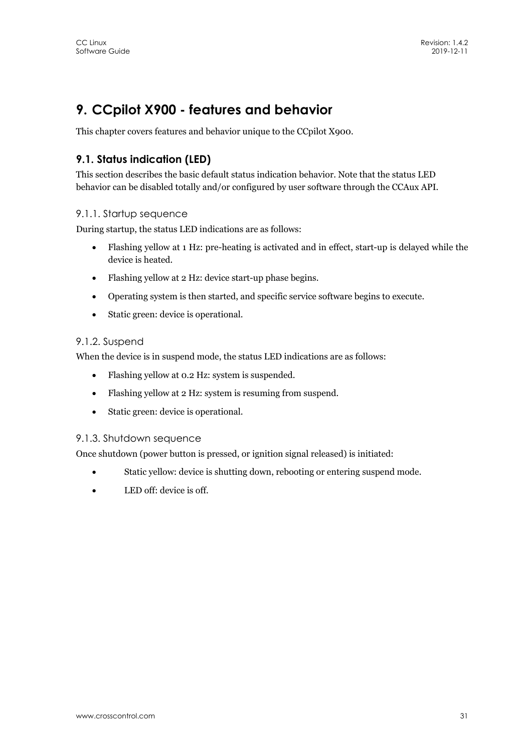## **9. CCpilot X900 - features and behavior**

This chapter covers features and behavior unique to the CCpilot X900.

## **9.1. Status indication (LED)**

This section describes the basic default status indication behavior. Note that the status LED behavior can be disabled totally and/or configured by user software through the CCAux API.

#### 9.1.1. Startup sequence

During startup, the status LED indications are as follows:

- Flashing yellow at 1 Hz: pre-heating is activated and in effect, start-up is delayed while the device is heated.
- Flashing yellow at 2 Hz: device start-up phase begins.
- Operating system is then started, and specific service software begins to execute.
- Static green: device is operational.

#### 9.1.2. Suspend

When the device is in suspend mode, the status LED indications are as follows:

- Flashing yellow at 0.2 Hz: system is suspended.
- Flashing yellow at 2 Hz: system is resuming from suspend.
- Static green: device is operational.

#### 9.1.3. Shutdown sequence

Once shutdown (power button is pressed, or ignition signal released) is initiated:

- Static yellow: device is shutting down, rebooting or entering suspend mode.
- LED off: device is off.